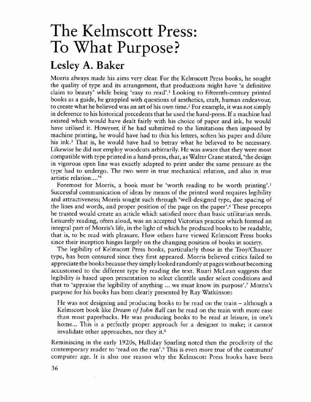## The Kelmscott Press: To What Purpose?

## Lesley A. Baker

Morris always made his aims very clear. For the Kelmscott Press books, he sought the quality of type and its arrangement, that productions might have 'a definitive claim to beauty' while being 'easy to read'.<sup>1</sup> Looking to fifteenth-century printed books as a guide, he grappled with questions of aesthetics, craft, human endeavour, to create what he believed was an art of his own time.<sup>2</sup> For example, it was not simply in deference to his historical precedents that he used the hand-press. If a machine had existed which would have dealt fairly with his choice of paper and ink, he would have utilised it. However, if he had submitted to the limitations then imposed by machine printing, he would have had to thin his letters, soften his paper and dilute his ink.<sup>3</sup> That is, he would have had to betray what he believed to be necessary. Likewise he did not employ woodcuts arbitrarily, He was aware that they were most compatible with type printed in a hand-press, that, as Waiter Crane stated, 'the design in vigorous open line was exactly adapted to print under the same pressure as the type had to undergo. The two were in true mechanical relation, and also in true artistic relation....<sup>'4</sup>

Foremost for Morris, a book must be 'worth reading to be worth printing'.<sup>5</sup> Successful communication of ideas by means of the printed word requires legibility and attractiveness; Morris sought such through 'well-designed type, due spacing of the lines and words, and proper position of the page on the paper'.6 These precepts he trusted would create an article which satisfied more than basic utilitarian needs. Leisurely reading, often aloud, was an accepted Victorian practice which formed an integral part of Morris's life, in the light of which he produced books to be readable, that is, to be read with pleasure. How others have viewed Kelmscott Press books since their inception hinges largely on the changing position of books in society.

The legibility of Kelmscott Press books, particularly those in the *Troy/Chaucer* type, has been censured since they first appeared. Morris believed critics failed to appreciate the books because they simply looked randomly at pages without becoming accustomed to the different type by reading the text. Ruari McLean suggests that legibility is based upon presentation to select clientele under select conditions and that ro 'appraise the legibility of anything ... we must know its purpose'.7 Morris's purpose for his books has been clearly presented by Ray Watkinson:

He was not designing and producing books to be read on the train – although a Kelmscott book like *Dream of John Ball* can be read on the train with more ease than most paperbacks. He was producing books to be read at leisure, in one's home... This is a perfectly proper approach for a designer to make; it cannot invalidate other approaches, nor they it. $\frac{8}{3}$ 

Reminiscing in the early 1920s, Halliday Sparling noted then the proclivity of the contemporary reader to 'read on the run'.<sup>9</sup> This is even more true of the commuter/ computer age. It is also one reason why the Kelmscott Press books have been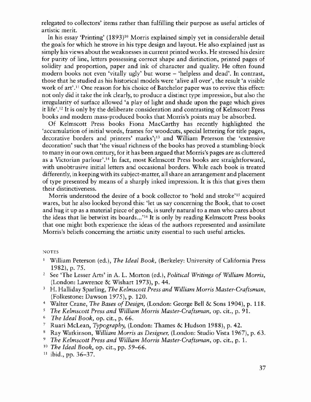relegated to collectors' items rather than fulfilling their purpose as useful articles of artistic merit.

In his essay 'Printing' (1893)1° Morris explained simply yet in considerable detail the goals for which he strove in his type design and layout. He also explained just as simply his views about the weaknesses in current printed works. He stressed his desire for purity of line, letters possessing correct shape and distinction, printed pages of solidity and proportion, paper and ink of character and quality. He often found modern books not even 'vitally ugly' but worse – 'helpless and dead'. In contrast, those that he studied as his historical models were 'alive all over', the result 'a visible work of art'.<sup>11</sup> One reason for his choice of Batchelor paper was to revive this effect: not only did it take the ink clearly, to produce a distinct type impression, but also the irregularity of surface allowed 'a play of light and shade upon the page which gives it life'.<sup>12</sup> It is only by the deliberate consideration and contrasting of Kelmscott Press books and modern mass·produced books that Morris's points may be absorbed.

Of Kelmscott Press books Fiona MacCarthy has recently highlighted the 'accumulation of initial words, frames for woodcuts, special lettering for title pages, decorative borders and printers' marks';13 and William Peterson the 'extensive decoration' such that 'the visual richness of the books has proved a stumbling-block to many in our own century, for it has been argued that Morris's pages are as cluttered as a Victorian parlour'.<sup>14</sup> In fact, most Kelmscott Press books are straightforward, with unobtrusive initial letters and occasional borders. While each book is treated differently, in keeping with its subject-matter, all share an arrangement and placement of type presented by means of a sharply inked impression. It is this that gives them their distinctiveness.

Morris understood the desire of a book collector to 'hold and stroke'<sup>15</sup> acquired wares, but he also looked beyond this: 'let us say concerning the Book, that to coset and hug it up as a material piece of goods, is surely natural to a man who cares about the ideas that lie betwixt its boards...'<sup>16</sup> It is only by reading Kelmscott Press books that one might both experience the ideas of the authors represented and assimilate Morris's beliefs concerning the artistic unity essential to such useful articles.

## NOTES

- <sup>1</sup> William Peterson (ed.), *The Ideal Book*, (Berkeley: University of California Press 1982), p. 75.
- <sup>2</sup> Sce 'The Lesser Arts' in A. L. Morron (ed.), *Political Writings of WiUiam Morris,* (London: Lawrence & Wishart 1973), p. 44.
- <sup>3</sup> H. Halliday Sparling, *The Kelmscott Press and William Morris Master-Craftsman,* (Folkestone: Dawson 1975), p. 120.
- <sup>4</sup> Walter Crane, *The Bases of Design*, (London: George Bell & Sons 1904), p. 118.
- *<sup>S</sup> The Kelmscott Press and William Morris Master-Craftsman,* op. cit., p. 91.
- *<sup>6</sup> The Ideal Book,* op. cit., p. 66.
- <sup>7</sup> Ruari McLean, *Typography,* (London: Thames & Hudson 1988), p. 42.
- <sup>8</sup> Ray Watkinson, *William Morris as Designer,* (London: Studio Vista 1967), p. 63.
- <sup>9</sup> *The Kelmscott Press and Wlilliam Morris Master-Craftsman,* op. cit., p. 1.
- *" The Ideal Book,* op. cit., pp. 59-66.
- $11$  ibid., pp. 36-37.